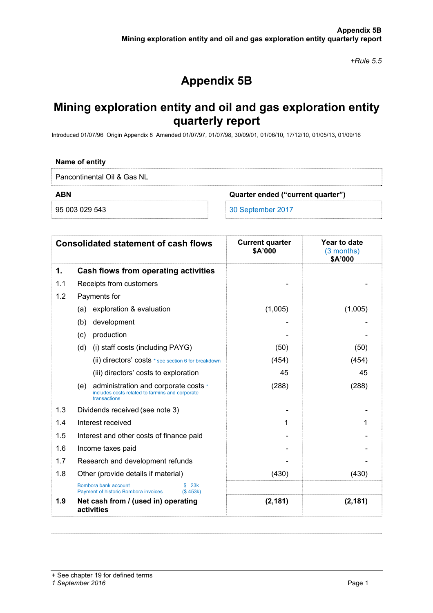*+Rule 5.5* 

# **Appendix 5B**

## **Mining exploration entity and oil and gas exploration entity quarterly report**

Introduced 01/07/96 Origin Appendix 8 Amended 01/07/97, 01/07/98, 30/09/01, 01/06/10, 17/12/10, 01/05/13, 01/09/16

#### **Name of entity**

Pancontinental Oil & Gas NL

**ABN Quarter ended ("current quarter")** 

95 003 029 543 30 September 2017

| <b>Consolidated statement of cash flows</b> |                                                                                                                | <b>Current quarter</b><br>\$A'000 | Year to date<br>(3 months)<br>\$A'000 |
|---------------------------------------------|----------------------------------------------------------------------------------------------------------------|-----------------------------------|---------------------------------------|
| 1.                                          | Cash flows from operating activities                                                                           |                                   |                                       |
| 1.1                                         | Receipts from customers                                                                                        |                                   |                                       |
| 1.2                                         | Payments for                                                                                                   |                                   |                                       |
|                                             | exploration & evaluation<br>(a)                                                                                | (1,005)                           | (1,005)                               |
|                                             | development<br>(b)                                                                                             |                                   |                                       |
|                                             | production<br>(c)                                                                                              |                                   |                                       |
|                                             | (d)<br>(i) staff costs (including PAYG)                                                                        | (50)                              | (50)                                  |
|                                             | (ii) directors' costs * see section 6 for breakdown                                                            | (454)                             | (454)                                 |
|                                             | (iii) directors' costs to exploration                                                                          | 45                                | 45                                    |
|                                             | administration and corporate costs *<br>(e)<br>includes costs related to farmins and corporate<br>transactions | (288)                             | (288)                                 |
| 1.3                                         | Dividends received (see note 3)                                                                                |                                   |                                       |
| 1.4                                         | Interest received                                                                                              | 1                                 |                                       |
| 1.5                                         | Interest and other costs of finance paid                                                                       |                                   |                                       |
| 1.6                                         | Income taxes paid                                                                                              |                                   |                                       |
| 1.7                                         | Research and development refunds                                                                               |                                   |                                       |
| 1.8                                         | Other (provide details if material)                                                                            | (430)                             | (430)                                 |
|                                             | Bombora bank account<br>\$23k<br>Payment of historic Bombora invoices<br>(S453k)                               |                                   |                                       |
| 1.9                                         | Net cash from / (used in) operating<br>activities                                                              | (2, 181)                          | (2, 181)                              |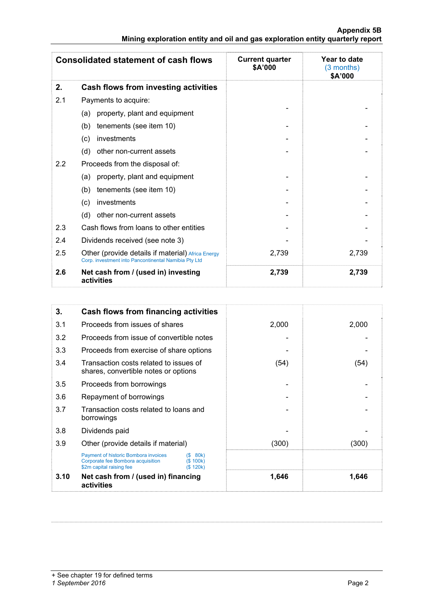#### **Appendix 5B Mining exploration entity and oil and gas exploration entity quarterly report**

|     | <b>Consolidated statement of cash flows</b>                                                               | <b>Current quarter</b><br>\$A'000 | Year to date<br>(3 months)<br>\$A'000 |
|-----|-----------------------------------------------------------------------------------------------------------|-----------------------------------|---------------------------------------|
| 2.  | Cash flows from investing activities                                                                      |                                   |                                       |
| 2.1 | Payments to acquire:                                                                                      |                                   |                                       |
|     | property, plant and equipment<br>(a)                                                                      |                                   |                                       |
|     | tenements (see item 10)<br>(b)                                                                            |                                   |                                       |
|     | investments<br>(c)                                                                                        |                                   |                                       |
|     | (d)<br>other non-current assets                                                                           |                                   |                                       |
| 2.2 | Proceeds from the disposal of:                                                                            |                                   |                                       |
|     | property, plant and equipment<br>(a)                                                                      |                                   |                                       |
|     | tenements (see item 10)<br>(b)                                                                            |                                   |                                       |
|     | investments<br>(c)                                                                                        |                                   |                                       |
|     | other non-current assets<br>(d)                                                                           |                                   |                                       |
| 2.3 | Cash flows from loans to other entities                                                                   |                                   |                                       |
| 2.4 | Dividends received (see note 3)                                                                           |                                   |                                       |
| 2.5 | Other (provide details if material) Africa Energy<br>Corp. investment into Pancontinental Namibia Pty Ltd | 2,739                             | 2,739                                 |
| 2.6 | Net cash from / (used in) investing<br>activities                                                         | 2,739                             | 2,739                                 |

| 3.   | <b>Cash flows from financing activities</b>                                                                  |                                    |       |       |
|------|--------------------------------------------------------------------------------------------------------------|------------------------------------|-------|-------|
| 3.1  | Proceeds from issues of shares                                                                               |                                    | 2,000 | 2,000 |
| 3.2  | Proceeds from issue of convertible notes                                                                     |                                    |       |       |
| 3.3  | Proceeds from exercise of share options                                                                      |                                    |       |       |
| 3.4  | Transaction costs related to issues of<br>shares, convertible notes or options                               |                                    | (54)  | (54)  |
| 3.5  | Proceeds from borrowings                                                                                     |                                    |       |       |
| 3.6  | Repayment of borrowings                                                                                      |                                    |       |       |
| 3.7  | Transaction costs related to loans and<br>borrowings                                                         |                                    |       |       |
| 3.8  | Dividends paid                                                                                               |                                    |       |       |
| 3.9  | Other (provide details if material)                                                                          |                                    | (300) | (300) |
|      | <b>Payment of historic Bombora invoices</b><br>Corporate fee Bombora acquisition<br>\$2m capital raising fee | 80k)<br>(S<br>(S 100k)<br>(S 120k) |       |       |
| 3.10 | Net cash from / (used in) financing<br>activities                                                            |                                    | 1,646 | 1,646 |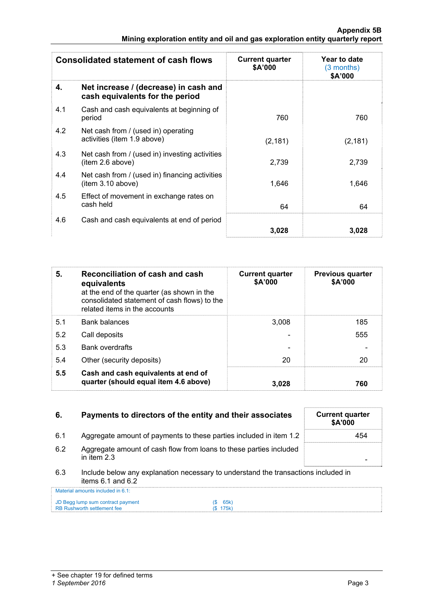| <b>Consolidated statement of cash flows</b> |                                                                          | <b>Current quarter</b><br>\$A'000 | Year to date<br>$(3$ months)<br>\$A'000 |
|---------------------------------------------|--------------------------------------------------------------------------|-----------------------------------|-----------------------------------------|
| 4.                                          | Net increase / (decrease) in cash and<br>cash equivalents for the period |                                   |                                         |
| 4.1                                         | Cash and cash equivalents at beginning of<br>period                      | 760                               | 760                                     |
| 4.2                                         | Net cash from / (used in) operating<br>activities (item 1.9 above)       | (2, 181)                          | (2, 181)                                |
| 4.3                                         | Net cash from / (used in) investing activities<br>item 2.6 above)        | 2,739                             | 2,739                                   |
| 4.4                                         | Net cash from / (used in) financing activities<br>item 3.10 above)       | 1.646                             | 1,646                                   |
| 4.5                                         | Effect of movement in exchange rates on<br>cash held                     | 64                                | 64                                      |
| 4.6                                         | Cash and cash equivalents at end of period                               | 3.028                             | 3,028                                   |

| 5.  | Reconciliation of cash and cash<br>equivalents<br>at the end of the quarter (as shown in the<br>consolidated statement of cash flows) to the<br>related items in the accounts | <b>Current quarter</b><br>\$A'000 | <b>Previous quarter</b><br>\$A'000 |
|-----|-------------------------------------------------------------------------------------------------------------------------------------------------------------------------------|-----------------------------------|------------------------------------|
| 5.1 | <b>Bank balances</b>                                                                                                                                                          | 3.008                             | 185                                |
| 5.2 | Call deposits                                                                                                                                                                 |                                   | 555                                |
| 5.3 | <b>Bank overdrafts</b>                                                                                                                                                        |                                   |                                    |
| 5.4 | Other (security deposits)                                                                                                                                                     | 20                                | 20                                 |
| 5.5 | Cash and cash equivalents at end of<br>quarter (should equal item 4.6 above)                                                                                                  | 3.028                             | 760                                |

| 6.  | Payments to directors of the entity and their associates                                                    |               | <b>Current quarter</b><br><b>\$A'000</b> |
|-----|-------------------------------------------------------------------------------------------------------------|---------------|------------------------------------------|
| 6.1 | Aggregate amount of payments to these parties included in item 1.2                                          |               | 454                                      |
| 6.2 | Aggregate amount of cash flow from loans to these parties included<br>in item $2.3$                         |               |                                          |
| 6.3 | Include below any explanation necessary to understand the transactions included in<br>items $6.1$ and $6.2$ |               |                                          |
|     | Material amounts included in 6.1:                                                                           |               |                                          |
|     | JD Begg lump sum contract payment<br><b>RB Rushworth settlement fee</b>                                     | 65k)<br>175k) |                                          |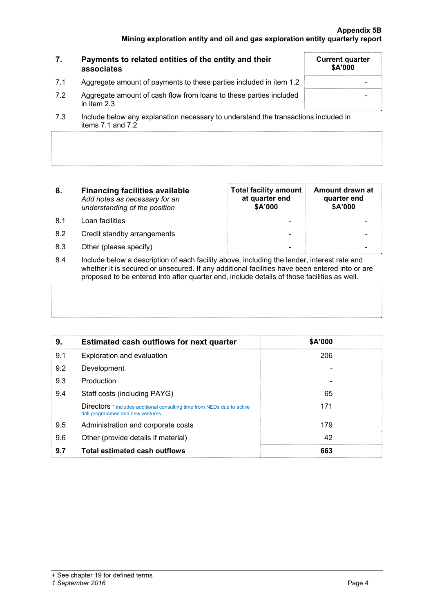| 7.  | Payments to related entities of the entity and their<br>associates                                                    | <b>Current quarter</b><br><b>\$A'000</b> |
|-----|-----------------------------------------------------------------------------------------------------------------------|------------------------------------------|
| 7.1 | Aggregate amount of payments to these parties included in item 1.2                                                    |                                          |
| 7.2 | Aggregate amount of cash flow from loans to these parties included<br>in item $2.3$                                   |                                          |
|     | المزام والمراجعين ولمتحافظ والمستحيط والمستقطع والمستنب والمستواد ومعتر والمتحاول والمستحي والمتحار والمسارا والمسارا |                                          |

- 7.3 Include below any explanation necessary to understand the transactions included in items 7.1 and 7.2
- **8. Financing facilities available** *Add notes as necessary for an understanding of the position*
- 8.1 Loan facilities
- 8.2 Credit standby arrangements
- 8.3 Other (please specify)

| <b>Total facility amount</b><br>at quarter end<br>\$A'000 | Amount drawn at<br>quarter end<br>\$A'000 |
|-----------------------------------------------------------|-------------------------------------------|
|                                                           |                                           |
|                                                           |                                           |
|                                                           |                                           |

8.4 Include below a description of each facility above, including the lender, interest rate and whether it is secured or unsecured. If any additional facilities have been entered into or are proposed to be entered into after quarter end, include details of those facilities as well.

| 9.  | <b>Estimated cash outflows for next quarter</b>                                                                     | \$A'000 |  |
|-----|---------------------------------------------------------------------------------------------------------------------|---------|--|
| 9.1 | Exploration and evaluation                                                                                          | 206     |  |
| 9.2 | Development                                                                                                         |         |  |
| 9.3 | Production                                                                                                          |         |  |
| 9.4 | Staff costs (including PAYG)                                                                                        | 65      |  |
|     | <b>Directors</b> * includes additional consulting time from NEDs due to active<br>drill programmes and new ventures | 171     |  |
| 9.5 | Administration and corporate costs                                                                                  | 179     |  |
| 9.6 | Other (provide details if material)                                                                                 | 42      |  |
| 9.7 | <b>Total estimated cash outflows</b>                                                                                | 663     |  |